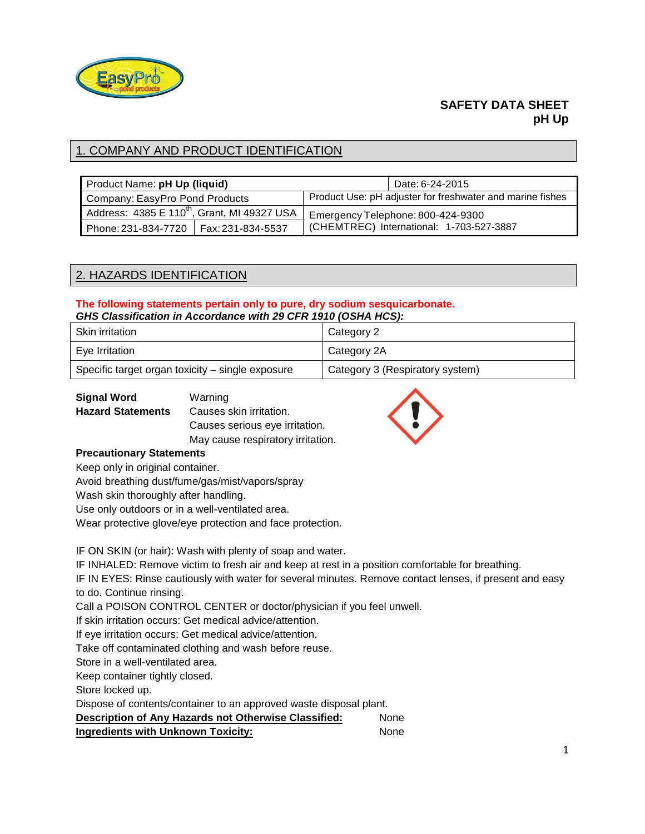

# **SAFETY DATA SHEET pH Up**

# 1. COMPANY AND PRODUCT IDENTIFICATION

| Product Name: pH Up (liquid)                            | Date: 6-24-2015                                           |
|---------------------------------------------------------|-----------------------------------------------------------|
| Company: EasyPro Pond Products                          | Product Use: pH adjuster for freshwater and marine fishes |
| Address: 4385 E 110 <sup>th</sup> , Grant, MI 49327 USA | Emergency Telephone: 800-424-9300                         |
| Phone: 231-834-7720   Fax: 231-834-5537                 | (CHEMTREC) International: 1-703-527-3887                  |

# 2. HAZARDS IDENTIFICATION

## **The following statements pertain only to pure, dry sodium sesquicarbonate.** *GHS Classification in Accordance with 29 CFR 1910 (OSHA HCS):*

| Skin irritation                                  | Category 2                      |
|--------------------------------------------------|---------------------------------|
| Eye Irritation                                   | Category 2A                     |
| Specific target organ toxicity – single exposure | Category 3 (Respiratory system) |

**Signal Word** Warning **Hazard Statements** Causes skin irritation. Causes serious eye irritation. May cause respiratory irritation.



### **Precautionary Statements**

Keep only in original container.

Avoid breathing dust/fume/gas/mist/vapors/spray

Wash skin thoroughly after handling.

Use only outdoors or in a well-ventilated area.

Wear protective glove/eye protection and face protection.

IF ON SKIN (or hair): Wash with plenty of soap and water.

IF INHALED: Remove victim to fresh air and keep at rest in a position comfortable for breathing.

IF IN EYES: Rinse cautiously with water for several minutes. Remove contact lenses, if present and easy to do. Continue rinsing.

Call a POISON CONTROL CENTER or doctor/physician if you feel unwell.

If skin irritation occurs: Get medical advice/attention.

If eye irritation occurs: Get medical advice/attention.

Take off contaminated clothing and wash before reuse.

Store in a well-ventilated area.

Keep container tightly closed.

Store locked up.

Dispose of contents/container to an approved waste disposal plant.

**Description of Any Hazards not Otherwise Classified:** None

**Ingredients with Unknown Toxicity:** None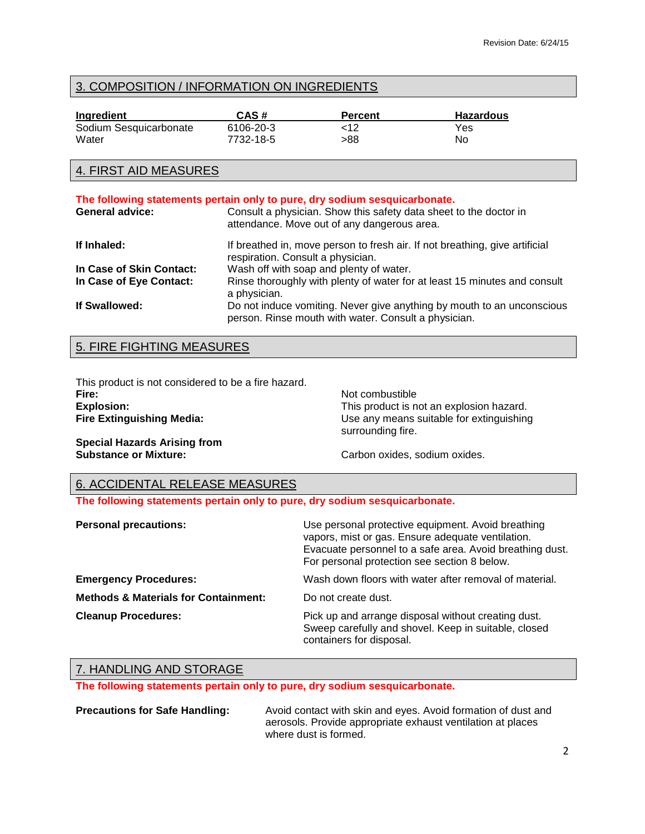# 3. COMPOSITION / INFORMATION ON INGREDIENTS

| Ingredient             | CAS#      | <b>Percent</b> | <b>Hazardous</b> |
|------------------------|-----------|----------------|------------------|
| Sodium Sesquicarbonate | 6106-20-3 | <12            | Yes              |
| Water                  | 7732-18-5 | >88            | No               |

# 4. FIRST AID MEASURES

| <b>General advice:</b>   | The following statements pertain only to pure, dry sodium sesquicarbonate.<br>Consult a physician. Show this safety data sheet to the doctor in<br>attendance. Move out of any dangerous area. |
|--------------------------|------------------------------------------------------------------------------------------------------------------------------------------------------------------------------------------------|
| If Inhaled:              | If breathed in, move person to fresh air. If not breathing, give artificial<br>respiration. Consult a physician.                                                                               |
| In Case of Skin Contact: | Wash off with soap and plenty of water.                                                                                                                                                        |
| In Case of Eye Contact:  | Rinse thoroughly with plenty of water for at least 15 minutes and consult<br>a physician.                                                                                                      |
| If Swallowed:            | Do not induce vomiting. Never give anything by mouth to an unconscious<br>person. Rinse mouth with water. Consult a physician.                                                                 |

# 5. FIRE FIGHTING MEASURES

This product is not considered to be a fire hazard. **Fire:** Not combustible **Explosion:**<br> **Fire Extinguishing Media:**<br> **Fire Extinguishing Media:**<br>
Use any means suitable for extinguishing

Use any means suitable for extinguishing surrounding fire.

**Special Hazards Arising from** 

Carbon oxides, sodium oxides.

### 6. ACCIDENTAL RELEASE MEASURES

**The following statements pertain only to pure, dry sodium sesquicarbonate.**

| <b>Personal precautions:</b>                    | Use personal protective equipment. Avoid breathing<br>vapors, mist or gas. Ensure adequate ventilation.<br>Evacuate personnel to a safe area. Avoid breathing dust.<br>For personal protection see section 8 below. |
|-------------------------------------------------|---------------------------------------------------------------------------------------------------------------------------------------------------------------------------------------------------------------------|
| <b>Emergency Procedures:</b>                    | Wash down floors with water after removal of material.                                                                                                                                                              |
| <b>Methods &amp; Materials for Containment:</b> | Do not create dust.                                                                                                                                                                                                 |
| <b>Cleanup Procedures:</b>                      | Pick up and arrange disposal without creating dust.<br>Sweep carefully and shovel. Keep in suitable, closed<br>containers for disposal.                                                                             |

# 7. HANDLING AND STORAGE

**The following statements pertain only to pure, dry sodium sesquicarbonate.**

**Precautions for Safe Handling:** Avoid contact with skin and eyes. Avoid formation of dust and aerosols. Provide appropriate exhaust ventilation at places where dust is formed.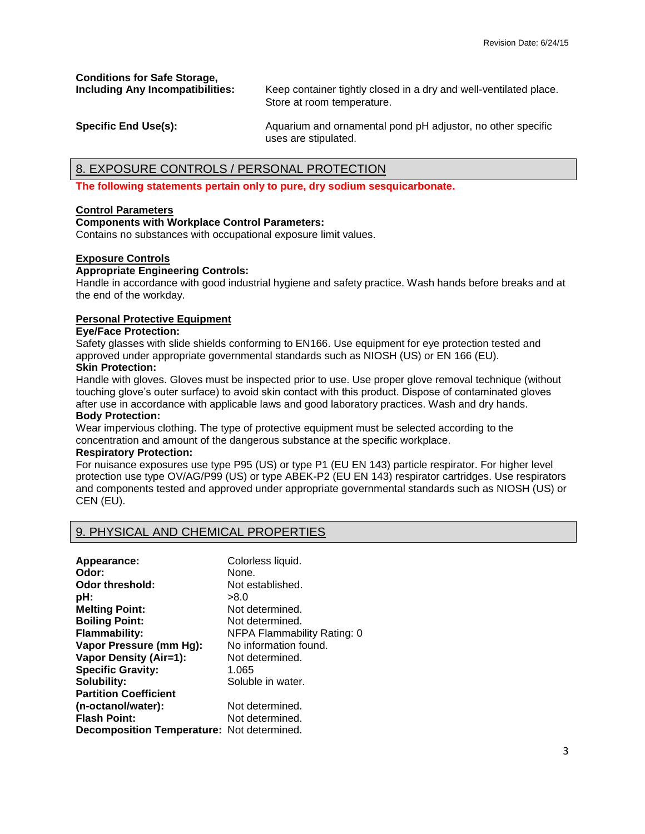#### **Conditions for Safe Storage, Including Any Incompatibilities:** Keep container tightly closed in a dry and well-ventilated place.

Store at room temperature. **Specific End Use(s):** Aquarium and ornamental pond pH adjustor, no other specific uses are stipulated.

## 8. EXPOSURE CONTROLS / PERSONAL PROTECTION

**The following statements pertain only to pure, dry sodium sesquicarbonate.**

#### **Control Parameters**

#### **Components with Workplace Control Parameters:**

Contains no substances with occupational exposure limit values.

#### **Exposure Controls**

#### **Appropriate Engineering Controls:**

Handle in accordance with good industrial hygiene and safety practice. Wash hands before breaks and at the end of the workday.

#### **Personal Protective Equipment**

#### **Eye/Face Protection:**

Safety glasses with slide shields conforming to EN166. Use equipment for eye protection tested and approved under appropriate governmental standards such as NIOSH (US) or EN 166 (EU).

# **Skin Protection:**

Handle with gloves. Gloves must be inspected prior to use. Use proper glove removal technique (without touching glove's outer surface) to avoid skin contact with this product. Dispose of contaminated gloves after use in accordance with applicable laws and good laboratory practices. Wash and dry hands. **Body Protection:** 

#### Wear impervious clothing. The type of protective equipment must be selected according to the concentration and amount of the dangerous substance at the specific workplace.

#### **Respiratory Protection:**

For nuisance exposures use type P95 (US) or type P1 (EU EN 143) particle respirator. For higher level protection use type OV/AG/P99 (US) or type ABEK-P2 (EU EN 143) respirator cartridges. Use respirators and components tested and approved under appropriate governmental standards such as NIOSH (US) or CEN (EU).

### 9. PHYSICAL AND CHEMICAL PROPERTIES

| Appearance:                                       | Colorless liquid.           |
|---------------------------------------------------|-----------------------------|
| Odor:                                             | None.                       |
| Odor threshold:                                   | Not established.            |
| pH:                                               | >8.0                        |
| <b>Melting Point:</b>                             | Not determined.             |
| <b>Boiling Point:</b>                             | Not determined.             |
| <b>Flammability:</b>                              | NFPA Flammability Rating: 0 |
| Vapor Pressure (mm Hg):                           | No information found.       |
| <b>Vapor Density (Air=1):</b>                     | Not determined.             |
| <b>Specific Gravity:</b>                          | 1.065                       |
| Solubility:                                       | Soluble in water.           |
| <b>Partition Coefficient</b>                      |                             |
| (n-octanol/water):                                | Not determined.             |
| <b>Flash Point:</b>                               | Not determined.             |
| <b>Decomposition Temperature:</b> Not determined. |                             |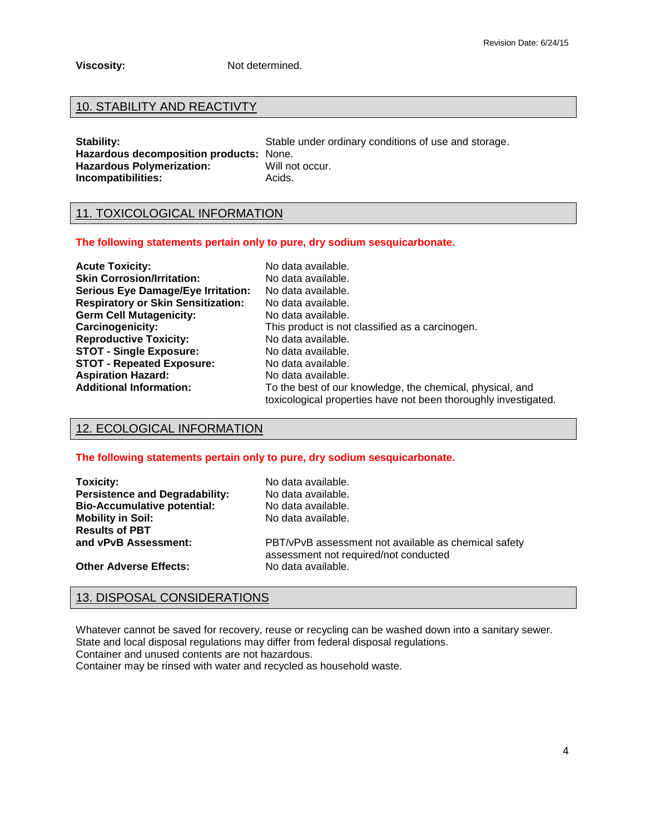**Viscosity:** Not determined.

# 10. STABILITY AND REACTIVTY

**Hazardous decomposition products:** None. Hazardous Polymerization: Will not occur. **Incompatibilities:** Acids.

**Stability: Stable under ordinary conditions of use and storage.** Stable under ordinary conditions of use and storage.

## 11. TOXICOLOGICAL INFORMATION

#### **The following statements pertain only to pure, dry sodium sesquicarbonate.**

| <b>Acute Toxicity:</b>                    | No data available.                                                                                                           |
|-------------------------------------------|------------------------------------------------------------------------------------------------------------------------------|
| <b>Skin Corrosion/Irritation:</b>         | No data available.                                                                                                           |
| <b>Serious Eye Damage/Eye Irritation:</b> | No data available.                                                                                                           |
| <b>Respiratory or Skin Sensitization:</b> | No data available.                                                                                                           |
| <b>Germ Cell Mutagenicity:</b>            | No data available.                                                                                                           |
| Carcinogenicity:                          | This product is not classified as a carcinogen.                                                                              |
| <b>Reproductive Toxicity:</b>             | No data available.                                                                                                           |
| <b>STOT - Single Exposure:</b>            | No data available.                                                                                                           |
| <b>STOT - Repeated Exposure:</b>          | No data available.                                                                                                           |
| <b>Aspiration Hazard:</b>                 | No data available.                                                                                                           |
| <b>Additional Information:</b>            | To the best of our knowledge, the chemical, physical, and<br>toxicological properties have not been thoroughly investigated. |

# 12. ECOLOGICAL INFORMATION

### **The following statements pertain only to pure, dry sodium sesquicarbonate.**

| <b>Toxicity:</b>                      | No data available.                                                                            |
|---------------------------------------|-----------------------------------------------------------------------------------------------|
| <b>Persistence and Degradability:</b> | No data available.                                                                            |
| <b>Bio-Accumulative potential:</b>    | No data available.                                                                            |
| <b>Mobility in Soil:</b>              | No data available.                                                                            |
| <b>Results of PBT</b>                 |                                                                                               |
| and vPvB Assessment:                  | PBT/vPvB assessment not available as chemical safety<br>assessment not required/not conducted |
| <b>Other Adverse Effects:</b>         | No data available.                                                                            |

## 13. DISPOSAL CONSIDERATIONS

Whatever cannot be saved for recovery, reuse or recycling can be washed down into a sanitary sewer. State and local disposal regulations may differ from federal disposal regulations. Container and unused contents are not hazardous.

Container may be rinsed with water and recycled as household waste.